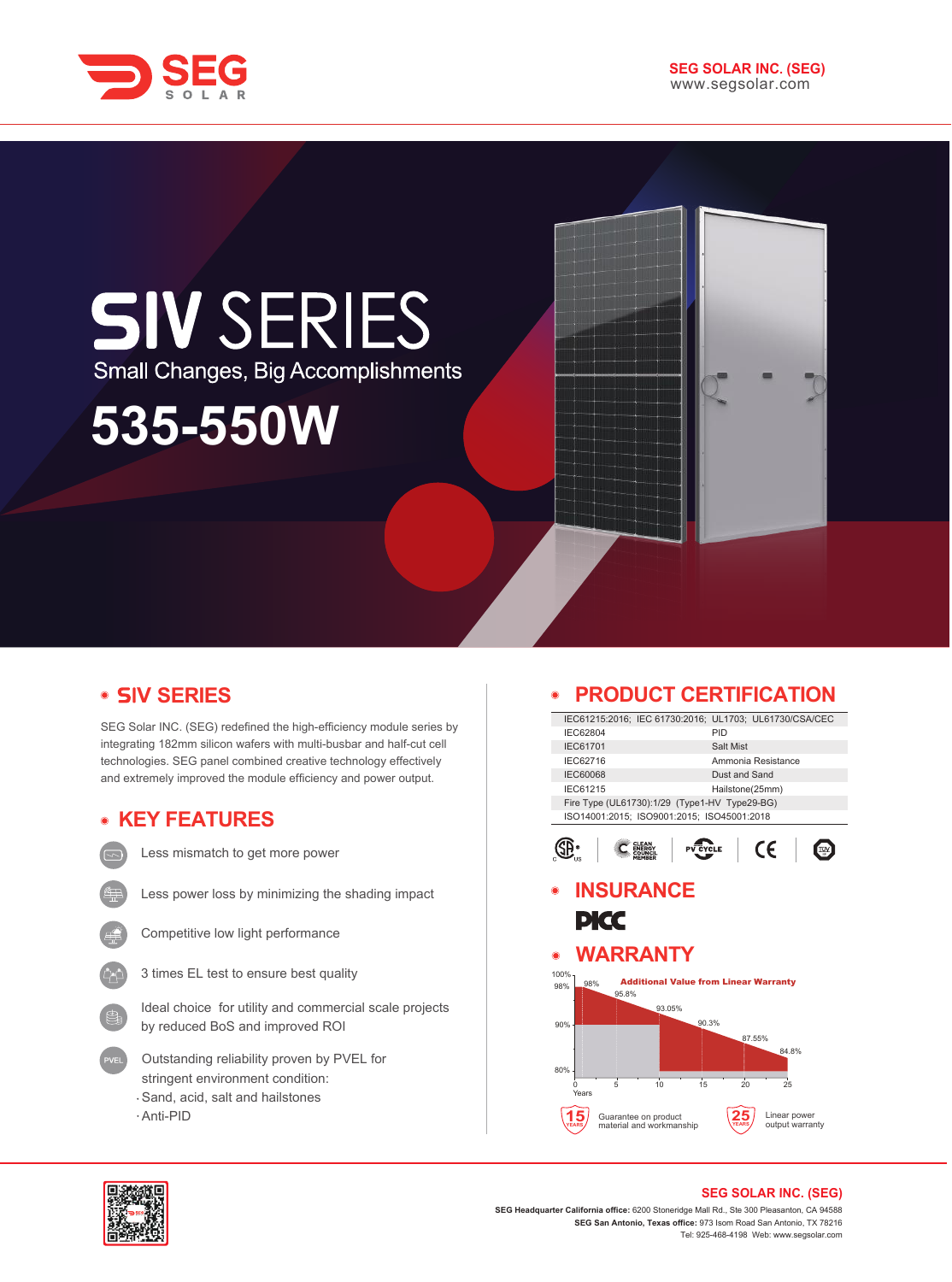

## **SIV SERIES** Small Changes, Big Accomplishments

# **535-550W**

#### **V SERIES**

SEG Solar INC. (SEG) redefined the high-efficiency module series by integrating 182mm silicon wafers with multi-busbar and half-cut cell technologies. SEG panel combined creative technology effectively and extremely improved the module efficiency and power output.

#### **KEY FEATURES**

- - Less mismatch to get more power
- 
- Less power loss by minimizing the shading impact
- 
- Competitive low light performance
- 3 times EL test to ensure best quality

Ideal choice for utility and commercial scale projects by reduced BoS and improved ROI

- Outstanding reliability proven by PVEL for stringent environment condition: Sand, acid, salt and hailstones
- Anti-PID

#### **PRODUCT CERTIFICATION**

|                                        |               |                      | IEC61215:2016; IEC 61730:2016; UL1703; UL61730/CSA/CEC |                    |        |              |  |
|----------------------------------------|---------------|----------------------|--------------------------------------------------------|--------------------|--------|--------------|--|
| IEC62804                               |               |                      |                                                        | PID                |        |              |  |
| IEC61701                               |               |                      |                                                        | Salt Mist          |        |              |  |
| IEC62716                               |               |                      |                                                        | Ammonia Resistance |        |              |  |
| <b>IEC60068</b>                        | Dust and Sand |                      |                                                        |                    |        |              |  |
| IEC61215                               |               |                      |                                                        | Hailstone(25mm)    |        |              |  |
|                                        |               |                      | Fire Type (UL61730):1/29 (Type1-HV Type29-BG)          |                    |        |              |  |
|                                        |               |                      | ISO14001:2015; ISO9001:2015; ISO45001:2018             |                    |        |              |  |
|                                        |               |                      |                                                        | <b>YCLE</b>        | CE     |              |  |
|                                        |               | <b>INSURANCE</b>     |                                                        |                    |        |              |  |
|                                        |               |                      |                                                        |                    |        |              |  |
|                                        |               |                      |                                                        |                    |        |              |  |
|                                        |               |                      |                                                        |                    |        |              |  |
| PKC                                    |               |                      |                                                        |                    |        |              |  |
|                                        |               |                      |                                                        |                    |        |              |  |
|                                        |               | WARRANTY             |                                                        |                    |        |              |  |
|                                        |               |                      |                                                        |                    |        |              |  |
| 98%                                    |               |                      | <b>Additional Value from Linear Warranty</b>           |                    |        |              |  |
|                                        | 95.8%         |                      |                                                        |                    |        |              |  |
|                                        |               | 93.05%               |                                                        |                    |        |              |  |
|                                        |               |                      | 90.3%                                                  |                    |        |              |  |
|                                        |               |                      |                                                        |                    | 87.55% |              |  |
|                                        |               |                      |                                                        |                    |        | 84.8%        |  |
|                                        |               |                      |                                                        |                    |        |              |  |
| Ω                                      | 5             | 10                   | 15                                                     | 20                 |        | 25           |  |
| Years                                  |               |                      |                                                        |                    |        |              |  |
| $\bullet$<br>100%<br>98%<br>90%<br>80% |               | Guarantee on product |                                                        |                    |        | Linear power |  |



### **SEG SOLAR INC. (SEG)**

**SEG Headquarter California office:** 6200 Stoneridge Mall Rd., Ste 300 Pleasanton, CA 94588 **SEG San Antonio, Texas office:** 973 Isom Road San Antonio, TX 78216 Tel: 925-468-4198 Web: www.segsolar.com